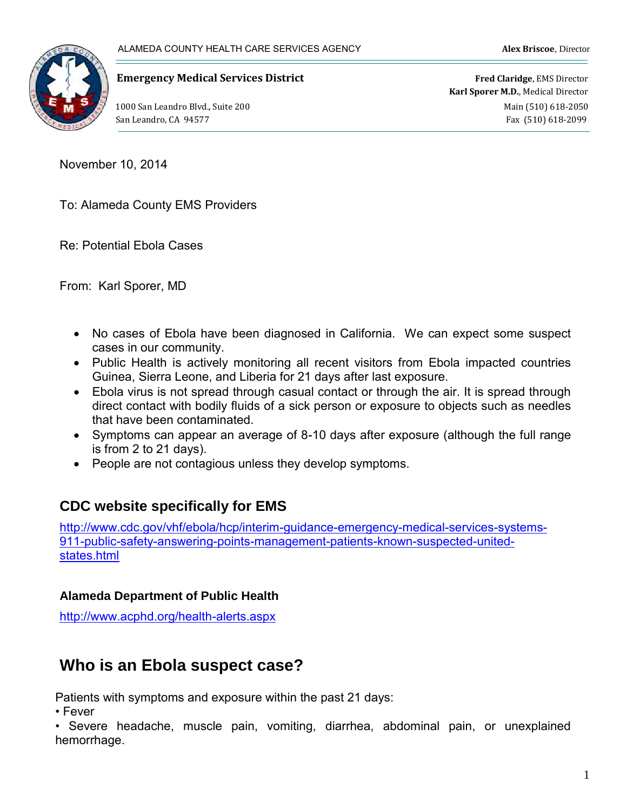

#### **Emergency Medical Services District Fred Claridge**, EMS Director

**Karl Sporer M.D.**, Medical Director 1000 San Leandro Blvd., Suite 200 **Main (510)** 618-2050 San Leandro, CA 94577 Fax (510) 618-2099

November 10, 2014

To: Alameda County EMS Providers

Re: Potential Ebola Cases

From: Karl Sporer, MD

- No cases of Ebola have been diagnosed in California. We can expect some suspect cases in our community.
- Public Health is actively monitoring all recent visitors from Ebola impacted countries Guinea, Sierra Leone, and Liberia for 21 days after last exposure.
- Ebola virus is not spread through casual contact or through the air. It is spread through direct contact with bodily fluids of a sick person or exposure to objects such as needles that have been contaminated.
- Symptoms can appear an average of 8-10 days after exposure (although the full range is from 2 to 21 days).
- People are not contagious unless they develop symptoms.

### **CDC website specifically for EMS**

[http://www.cdc.gov/vhf/ebola/hcp/interim-guidance-emergency-medical-services-systems-](http://www.cdc.gov/vhf/ebola/hcp/interim-guidance-emergency-medical-services-systems-911-public-safety-answering-points-management-patients-known-suspected-united-states.html)[911-public-safety-answering-points-management-patients-known-suspected-united](http://www.cdc.gov/vhf/ebola/hcp/interim-guidance-emergency-medical-services-systems-911-public-safety-answering-points-management-patients-known-suspected-united-states.html)[states.html](http://www.cdc.gov/vhf/ebola/hcp/interim-guidance-emergency-medical-services-systems-911-public-safety-answering-points-management-patients-known-suspected-united-states.html)

#### **Alameda Department of Public Health**

<http://www.acphd.org/health-alerts.aspx>

# **Who is an Ebola suspect case?**

Patients with symptoms and exposure within the past 21 days:

• Fever

• Severe headache, muscle pain, vomiting, diarrhea, abdominal pain, or unexplained hemorrhage.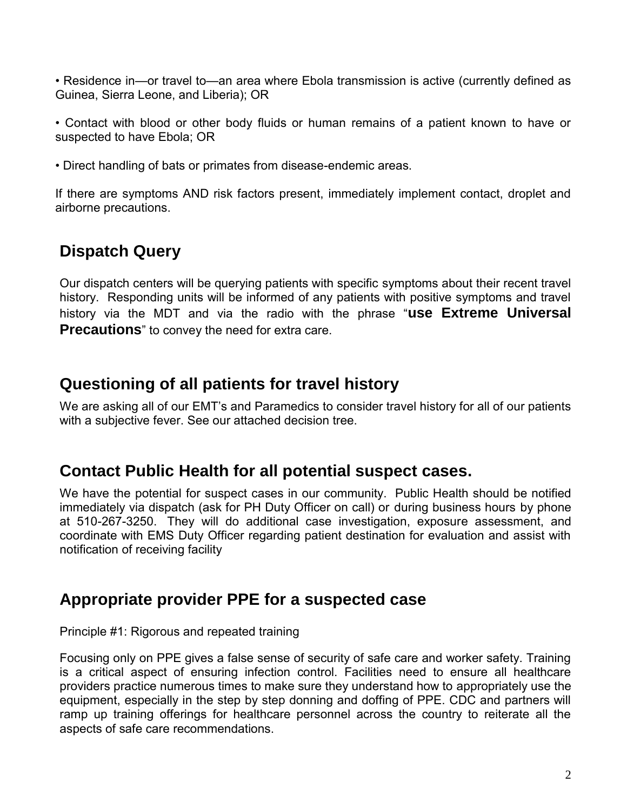• Residence in—or travel to—an area where Ebola transmission is active (currently defined as Guinea, Sierra Leone, and Liberia); OR

• Contact with blood or other body fluids or human remains of a patient known to have or suspected to have Ebola; OR

• Direct handling of bats or primates from disease-endemic areas.

If there are symptoms AND risk factors present, immediately implement contact, droplet and airborne precautions.

# **Dispatch Query**

Our dispatch centers will be querying patients with specific symptoms about their recent travel history. Responding units will be informed of any patients with positive symptoms and travel history via the MDT and via the radio with the phrase "**use Extreme Universal Precautions**" to convey the need for extra care.

# **Questioning of all patients for travel history**

We are asking all of our EMT's and Paramedics to consider travel history for all of our patients with a subjective fever. See our attached decision tree.

### **Contact Public Health for all potential suspect cases.**

We have the potential for suspect cases in our community. Public Health should be notified immediately via dispatch (ask for PH Duty Officer on call) or during business hours by phone at 510-267-3250. They will do additional case investigation, exposure assessment, and coordinate with EMS Duty Officer regarding patient destination for evaluation and assist with notification of receiving facility

# **Appropriate provider PPE for a suspected case**

Principle #1: Rigorous and repeated training

Focusing only on PPE gives a false sense of security of safe care and worker safety. Training is a critical aspect of ensuring infection control. Facilities need to ensure all healthcare providers practice numerous times to make sure they understand how to appropriately use the equipment, especially in the step by step donning and doffing of PPE. CDC and partners will ramp up training offerings for healthcare personnel across the country to reiterate all the aspects of safe care recommendations.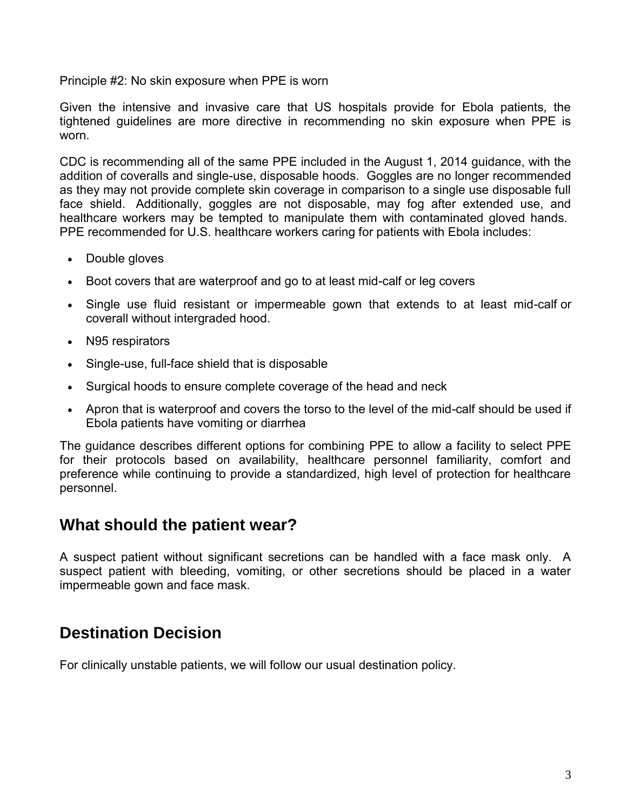Principle #2: No skin exposure when PPE is worn

Given the intensive and invasive care that US hospitals provide for Ebola patients, the tightened guidelines are more directive in recommending no skin exposure when PPE is worn.

CDC is recommending all of the same PPE included in the August 1, 2014 guidance, with the addition of coveralls and single-use, disposable hoods. Goggles are no longer recommended as they may not provide complete skin coverage in comparison to a single use disposable full face shield. Additionally, goggles are not disposable, may fog after extended use, and healthcare workers may be tempted to manipulate them with contaminated gloved hands. PPE recommended for U.S. healthcare workers caring for patients with Ebola includes:

- Double gloves
- Boot covers that are waterproof and go to at least mid-calf or leg covers
- Single use fluid resistant or impermeable gown that extends to at least mid-calf or coverall without intergraded hood.
- N95 respirators
- Single-use, full-face shield that is disposable
- Surgical hoods to ensure complete coverage of the head and neck
- Apron that is waterproof and covers the torso to the level of the mid-calf should be used if Ebola patients have vomiting or diarrhea

The guidance describes different options for combining PPE to allow a facility to select PPE for their protocols based on availability, healthcare personnel familiarity, comfort and preference while continuing to provide a standardized, high level of protection for healthcare personnel.

### **What should the patient wear?**

A suspect patient without significant secretions can be handled with a face mask only. A suspect patient with bleeding, vomiting, or other secretions should be placed in a water impermeable gown and face mask.

# **Destination Decision**

For clinically unstable patients, we will follow our usual destination policy.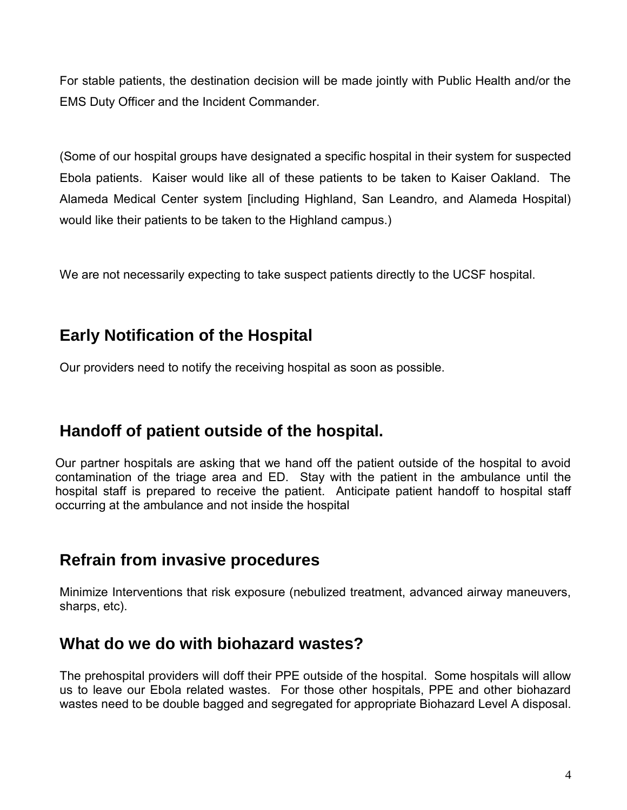For stable patients, the destination decision will be made jointly with Public Health and/or the EMS Duty Officer and the Incident Commander.

(Some of our hospital groups have designated a specific hospital in their system for suspected Ebola patients. Kaiser would like all of these patients to be taken to Kaiser Oakland. The Alameda Medical Center system [including Highland, San Leandro, and Alameda Hospital) would like their patients to be taken to the Highland campus.)

We are not necessarily expecting to take suspect patients directly to the UCSF hospital.

# **Early Notification of the Hospital**

Our providers need to notify the receiving hospital as soon as possible.

# **Handoff of patient outside of the hospital.**

Our partner hospitals are asking that we hand off the patient outside of the hospital to avoid contamination of the triage area and ED. Stay with the patient in the ambulance until the hospital staff is prepared to receive the patient. Anticipate patient handoff to hospital staff occurring at the ambulance and not inside the hospital

# **Refrain from invasive procedures**

Minimize Interventions that risk exposure (nebulized treatment, advanced airway maneuvers, sharps, etc).

# **What do we do with biohazard wastes?**

The prehospital providers will doff their PPE outside of the hospital. Some hospitals will allow us to leave our Ebola related wastes. For those other hospitals, PPE and other biohazard wastes need to be double bagged and segregated for appropriate Biohazard Level A disposal.